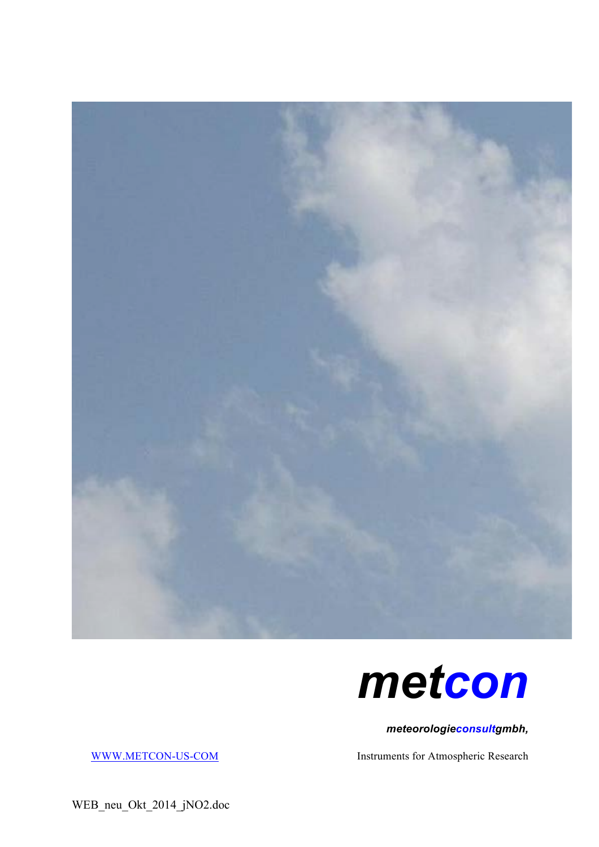



*meteorologieconsultgmbh,*

WWW.METCON-US-COM Instruments for Atmospheric Research

WEB\_neu\_Okt\_2014\_jNO2.doc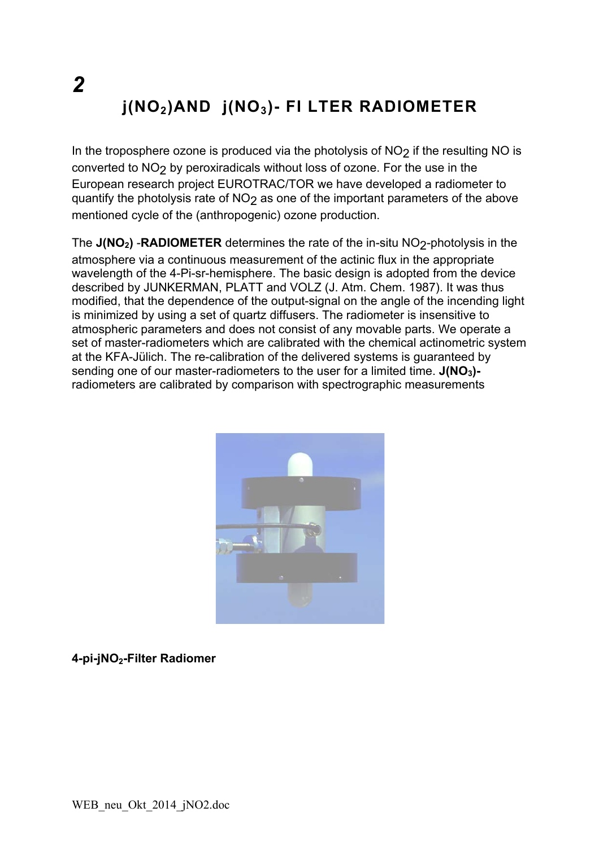# $j(NO<sub>2</sub>)AND j(NO<sub>3</sub>)$ - FI LTER RADIOMETER

In the troposphere ozone is produced via the photolysis of  $NO<sub>2</sub>$  if the resulting NO is converted to NO<sub>2</sub> by peroxiradicals without loss of ozone. For the use in the European research project EUROTRAC/TOR we have developed a radiometer to quantify the photolysis rate of NO<sub>2</sub> as one of the important parameters of the above mentioned cycle of the (anthropogenic) ozone production.

The  $J(NO<sub>2</sub>)$  -RADIOMETER determines the rate of the in-situ NO<sub>2</sub>-photolysis in the atmosphere via a continuous measurement of the actinic flux in the appropriate wavelength of the 4-Pi-sr-hemisphere. The basic design is adopted from the device described by JUNKERMAN, PLATT and VOLZ (J. Atm. Chem. 1987). It was thus modified, that the dependence of the output-signal on the angle of the incending light is minimized by using a set of quartz diffusers. The radiometer is insensitive to atmospheric parameters and does not consist of any movable parts. We operate a set of master-radiometers which are calibrated with the chemical actinometric system at the KFA-Jülich. The re-calibration of the delivered systems is guaranteed by sending one of our master-radiometers to the user for a limited time.  $J(NO<sub>3</sub>)$ radiometers are calibrated by comparison with spectrographic measurements



4-pi-jNO<sub>2</sub>-Filter Radiomer

 $\boldsymbol{2}$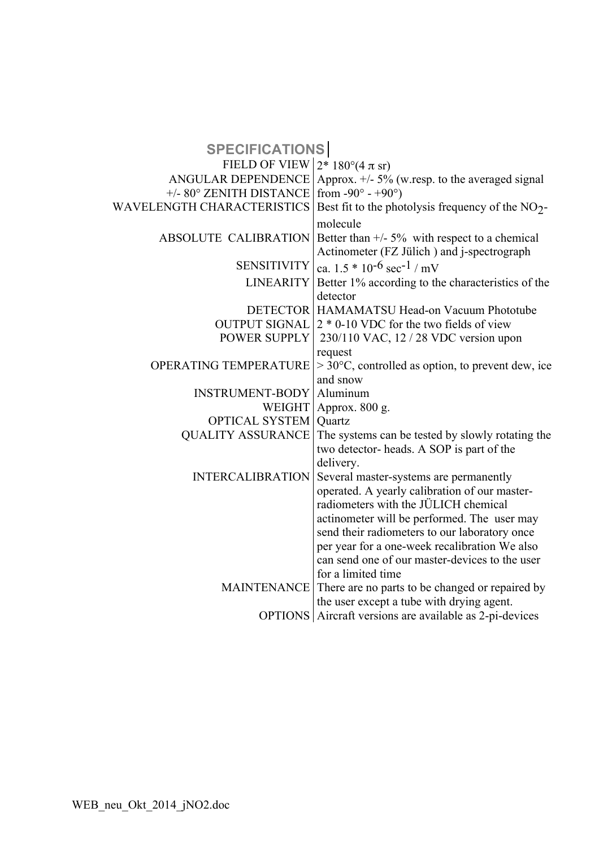| <b>SPECIFICATIONS</b>             |                                                               |
|-----------------------------------|---------------------------------------------------------------|
| FIELD OF VIEW 2* 180°(4 $\pi$ sr) |                                                               |
| <b>ANGULAR DEPENDENCE</b>         | Approx. +/- 5% (w.resp. to the averaged signal                |
| +/- 80° ZENITH DISTANCE           | from $-90^\circ - +90^\circ$ )                                |
| <b>WAVELENGTH CHARACTERISTICS</b> | Best fit to the photolysis frequency of the $NO2$ -           |
|                                   | molecule                                                      |
| <b>ABSOLUTE CALIBRATION</b>       | Better than $+/- 5\%$ with respect to a chemical              |
|                                   | Actinometer (FZ Jülich) and j-spectrograph                    |
| <b>SENSITIVITY</b>                | ca. $1.5 * 10^{-6}$ sec <sup>-1</sup> / mV                    |
| <b>LINEARITY</b>                  | Better 1% according to the characteristics of the             |
|                                   | detector                                                      |
|                                   | <b>DETECTOR   HAMAMATSU Head-on Vacuum Phototube</b>          |
| <b>OUTPUT SIGNAL</b>              | $2 * 0$ -10 VDC for the two fields of view                    |
| POWER SUPPLY                      | 230/110 VAC, 12 / 28 VDC version upon                         |
|                                   | request                                                       |
| OPERATING TEMPERATURE             | $>$ 30 $\degree$ C, controlled as option, to prevent dew, ice |
|                                   | and snow                                                      |
| <b>INSTRUMENT-BODY</b>            | Aluminum                                                      |
|                                   | WEIGHT   Approx. 800 g.                                       |
| <b>OPTICAL SYSTEM</b>             | Quartz                                                        |
| <b>QUALITY ASSURANCE</b>          | The systems can be tested by slowly rotating the              |
|                                   | two detector-heads. A SOP is part of the                      |
|                                   | delivery.                                                     |
| <b>INTERCALIBRATION</b>           | Several master-systems are permanently                        |
|                                   | operated. A yearly calibration of our master-                 |
|                                   | radiometers with the JÜLICH chemical                          |
|                                   | actinometer will be performed. The user may                   |
|                                   | send their radiometers to our laboratory once                 |
|                                   | per year for a one-week recalibration We also                 |
|                                   | can send one of our master-devices to the user                |
|                                   | for a limited time                                            |
| <b>MAINTENANCE</b>                | There are no parts to be changed or repaired by               |
|                                   | the user except a tube with drying agent.                     |
|                                   | OPTIONS Aircraft versions are available as 2-pi-devices       |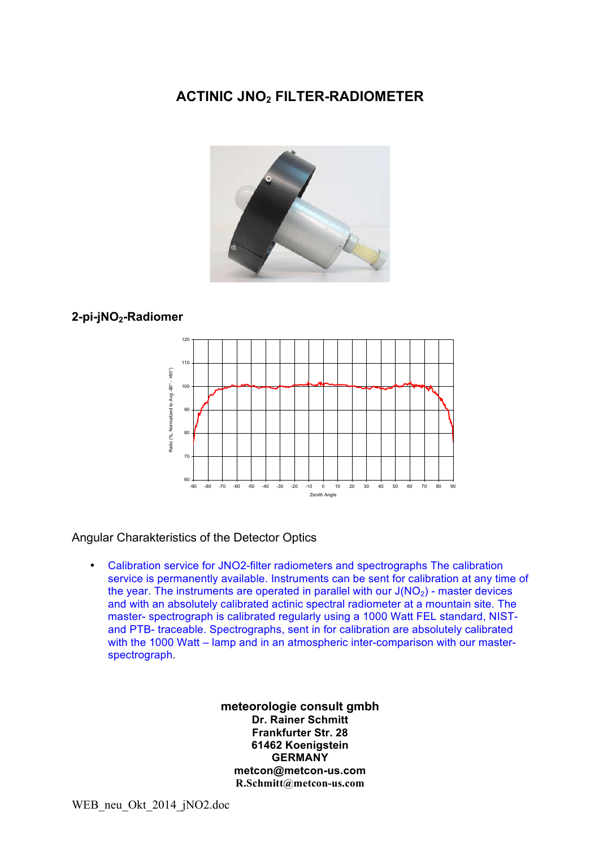## **ACTINIC!JNO2 FILTER+RADIOMETER**



### **2+pi+jNO2+Radiomer**



#### Angular Charakteristics of the Detector Optics

• Calibration service for JNO2-filter radiometers and spectrographs The calibration service is permanently available. Instruments can be sent for calibration at any time of the year. The instruments are operated in parallel with our  $J(NO<sub>2</sub>)$  - master devices and with an absolutely calibrated actinic spectral radiometer at a mountain site. The master- spectrograph is calibrated regularly using a 1000 Watt FEL standard, NISTand PTB- traceable. Spectrographs, sent in for calibration are absolutely calibrated with the 1000 Watt – lamp and in an atmospheric inter-comparison with our masterspectrograph.!

#### meteorologie consult gmbh **Dr. Rainer Schmitt Frankfurter Str. 28 61462!Koenigstein GERMANY metcon@metcon+us.com R.Schmitt@metcon-us.com**